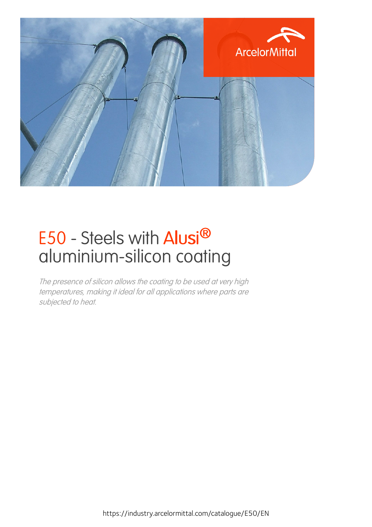

## E50 - Steels with Alusi® aluminium-silicon coating

The presence of silicon allows the coating to be used at very high temperatures, making it ideal for all applications where parts are subjected to heat.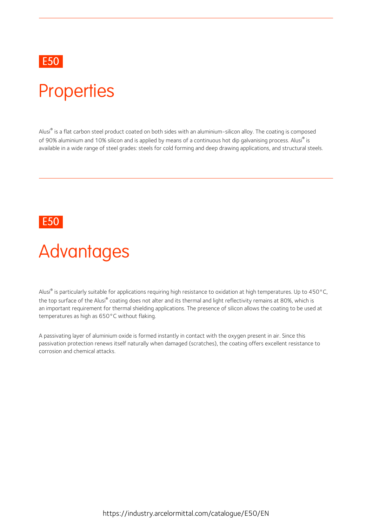### E50 and the contract of the contract of the contract of the contract of the contract of the contract of the contract of the contract of the contract of the contract of the contract of the contract of the contract of the co

### **Properties**

Alusi® is a flat carbon steel product coated on both sides with an aluminium-silicon alloy. The coating is composed of 90% aluminium and 10% silicon and is applied by means of a continuous hot dip galvanising process. Alusi® is is available in a wide range of steel grades: steels for cold forming and deep drawing applications, and structural steels.

### E50 and the contract of the contract of the contract of the contract of the contract of the contract of the contract of the contract of the contract of the contract of the contract of the contract of the contract of the co

## **Advantages**

Alusi® is particularly suitable for applications requiring high resistance to oxidation at high temperatures. Up to 450°C, the top surface of the Alusi® coating does not alter and its thermal and light reflectivity remains at 80%, which is an important requirement for thermal shielding applications. The presence of silicon allows the coating to be used at temperatures as high as 650°C without flaking.

A passivating layer of aluminium oxide is formed instantly in contact with the oxygen present in air. Since this passivation protection renews itself naturally when damaged (scratches), the coating offers excellent resistance to corrosion and chemical attacks.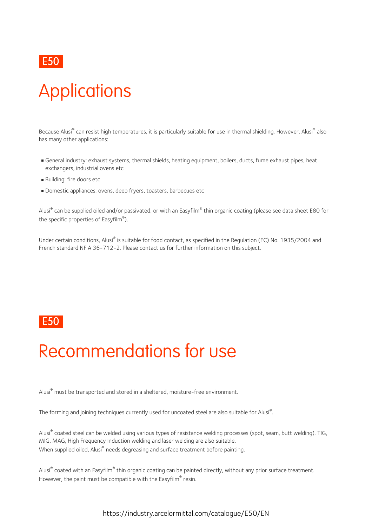### E50 and the contract of the contract of the contract of the contract of the contract of the contract of the contract of the contract of the contract of the contract of the contract of the contract of the contract of the co

# **Applications**

Because Alusi<sup>®</sup> can resist high temperatures, it is particularly suitable for use in thermal shielding. However, Alusi<sup>®</sup> also has many other applications:

- General industry: exhaust systems, thermal shields, heating equipment, boilers, ducts, fume exhaust pipes, heat exchangers, industrial ovens etc
- Building: fire doors etc
- Domestic appliances: ovens, deep fryers, toasters, barbecues etc

Alusi® can be supplied oiled and/or passivated, or with an Easyfilm® thin organic coating (please see data sheet E80 for the specific properties of Easyfilm® ).

Under certain conditions, Alusi® is suitable for food contact, as specified in the Regulation (EC) No. 1935/2004 and French standard NF A 36-712-2. Please contact us for further information on this subject.

### E50 and the contract of the contract of the contract of the contract of the contract of the contract of the contract of the contract of the contract of the contract of the contract of the contract of the contract of the co

## Recommendations for use

Alusi® must be transported and stored in a sheltered, moisture-free environment.

The forming and joining techniques currently used for uncoated steel are also suitable for Alusi<sup>®</sup>.

Alusi® coated steel can be welded using various types of resistance welding processes (spot, seam, butt welding). TIG, MIG, MAG, High Frequency Induction welding and laser welding are also suitable. When supplied oiled. Alusi<sup>®</sup> needs degreasing and surface treatment before painting.

Alusi® coated with an Easyfilm® thin organic coating can be painted directly, without any prior surface treatment. However, the paint must be compatible with the Easyfilm® resin.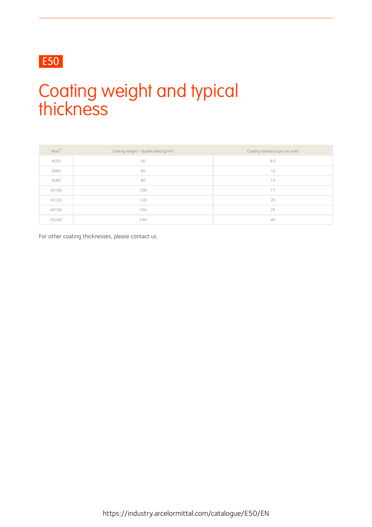### E50

## Coating weight and typical thickness

| Alusi® | Coating weight - double sided (g/m <sup>2</sup> ) | Coating thickness (um per side) |
|--------|---------------------------------------------------|---------------------------------|
| AS50   | 50                                                | 8.5                             |
| AS60   | 60                                                | 10                              |
| AS80   | 80                                                | 13                              |
| AS100  | 100                                               | 17                              |
| AS120  | 120                                               | 20                              |
| AS150  | 150                                               | 25                              |
| AS240  | 240                                               | 40                              |

For other coating thicknesses, please contact us.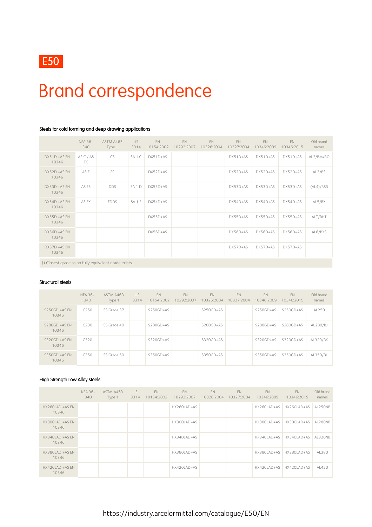

# Brand correspondence

|                                                       | NFA 36-<br>340  | ASTM A463<br>Type 1 | <b>JIS</b><br>3314 | EN<br>10154:2002 | EN.<br>10292:2007 | EN<br>10326:2004 | EN<br>10327:2004 | <b>EN</b><br>10346:2009 | EN<br>10346:2015 | Old brand<br>names |
|-------------------------------------------------------|-----------------|---------------------|--------------------|------------------|-------------------|------------------|------------------|-------------------------|------------------|--------------------|
| $DX51D + ASEN$<br>10346                               | AS C / AS<br>TC | CS                  | SA <sub>1</sub> C  | DX51D+AS         |                   |                  | DX51D+AS         | DX51D+AS                | DX51D+AS         | AL2/BM/BO          |
| DX52D +AS EN<br>10346                                 | AS E            | FS                  |                    | DX52D+AS         |                   |                  | DX52D+AS         | DX52D+AS                | DX52D+AS         | AL3/BS             |
| DX53D +AS EN<br>10346                                 | AS ES           | <b>DDS</b>          | SA <sub>1</sub> D  | DX53D+AS         |                   |                  | DX53D+AS         | DX53D+AS                | DX53D+AS         | (AL4)/BSR          |
| DX54D +AS EN<br>10346                                 | AS EX           | <b>EDDS</b>         | SA <sub>1E</sub>   | DX54D+AS         |                   |                  | DX54D+AS         | DX54D+AS                | DX54D+AS         | AL5/BX             |
| DX55D +AS EN<br>10346                                 |                 |                     |                    | DX55D+AS         |                   |                  | DX55D+AS         | DX55D+AS                | DX55D+AS         | ALT/BHT            |
| DX56D +AS EN<br>10346                                 |                 |                     |                    | DX56D+AS         |                   |                  | DX56D+AS         | DX56D+AS                | DX56D+AS         | AL6/BXS            |
| DX57D +AS EN<br>10346                                 |                 |                     |                    |                  |                   |                  | $DX57D+AS$       | DX57D+AS                | DX57D+AS         |                    |
| () Closest grade as no fully equivalent grade exists. |                 |                     |                    |                  |                   |                  |                  |                         |                  |                    |

### Steels for cold forming and deep drawing applications

#### Structural steels

|                           | <b>NFA 36-</b><br>340 | ASTM A463<br>Type 1 | <b>JIS</b><br>3314 | EN<br>10154:2002 | EN<br>10292:2007 | EN<br>10326:2004 | EN<br>10327:2004 | EN<br>10346:2009 | <b>FN</b><br>10346:2015 | Old brand<br>names |
|---------------------------|-----------------------|---------------------|--------------------|------------------|------------------|------------------|------------------|------------------|-------------------------|--------------------|
| $S250GD + ASFN$<br>10346  | C <sub>250</sub>      | SS Grade 37         |                    | S250GD+AS        |                  | S250GD+AS        |                  | $S250GD+AS$      | $S250GD+AS$             | AL250              |
| $S280GD + AS EN$<br>10346 | C <sub>280</sub>      | SS Grade 40         |                    | $S280GD+AS$      |                  | S280GD+AS        |                  | S280GD+AS        | S280GD+AS               | AL280/BJ           |
| $S320GD + AS EN$<br>10346 | C320                  |                     |                    | S320GD+AS        |                  | S320GD+AS        |                  | $S320GD+AS$      | $S320GD+AS$             | AL320/BK           |
| $S350GD + AS EN$<br>10346 | C350                  | SS Grade 50         |                    | S350GD+AS        |                  | S350GD+AS        |                  | S350GD+AS        | S350GD+AS               | AL350/BL           |

#### High Strength Low Alloy steels

|                          | NFA 36-<br>340 | ASTM A463<br>Type 1 | JIS.<br>3314 | <b>EN</b><br>10154:2002 | <b>EN</b><br>10292:2007 | EN<br>10326:2004 | EN<br>10327:2004 | EN<br>10346:2009 | EN.<br>10346:2015       | Old brand<br>names |
|--------------------------|----------------|---------------------|--------------|-------------------------|-------------------------|------------------|------------------|------------------|-------------------------|--------------------|
| HX260LAD +AS EN<br>10346 |                |                     |              |                         | HX260LAD+AS             |                  |                  | HX260LAD+AS      | HX260LAD+AS AL250NB     |                    |
| HX300LAD +AS EN<br>10346 |                |                     |              |                         | HX300LAD+AS             |                  |                  | HX300LAD+AS      | HX300LAD+AS AL280NB     |                    |
| HX340LAD +AS EN<br>10346 |                |                     |              |                         | HX340LAD+AS             |                  |                  | HX340LAD+AS      | HX340LAD+AS AL320NB     |                    |
| HX380LAD +AS EN<br>10346 |                |                     |              |                         | HX380LAD+AS             |                  |                  | HX380LAD+AS      | HX380LAD+AS             | AL380              |
| HX420LAD +AS EN<br>10346 |                |                     |              |                         | HX420LAD+AS             |                  |                  |                  | HX420LAD+AS HX420LAD+AS | AL420              |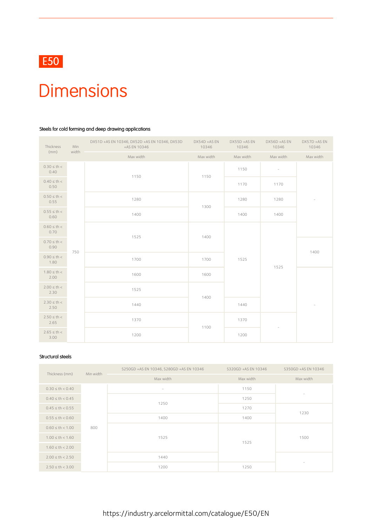

### **Dimensions**

### Steels for cold forming and deep drawing applications

| Thickness                | Min   | DX51D +AS EN 10346, DX52D +AS EN 10346, DX53D<br>+AS EN 10346 | DX54D +AS EN<br>10346 | DX55D +AS EN<br>10346 | DX56D +AS EN<br>10346    | DX57D +AS EN<br>10346    |  |
|--------------------------|-------|---------------------------------------------------------------|-----------------------|-----------------------|--------------------------|--------------------------|--|
| (mm)                     | width | Max width                                                     | Max width             | Max width             | Max width                | Max width                |  |
| $0.30 \le th <$<br>0.40  |       | 1150                                                          | 1150                  | 1150                  | $\overline{\phantom{a}}$ |                          |  |
| $0.40 \le th <$<br>0.50  |       |                                                               |                       | 1170                  | 1170                     |                          |  |
| $0.50 \le th <$<br>0.55  |       | 1280                                                          | 1300                  | 1280                  | 1280                     | $\overline{\phantom{a}}$ |  |
| $0.55 \le th <$<br>0.60  |       | 1400                                                          |                       | 1400                  | 1400                     |                          |  |
| $0.60 \le th <$<br>0.70  |       | 1525                                                          | 1400                  |                       |                          |                          |  |
| $0.70 \le th <$<br>0.90  | 750   |                                                               |                       |                       |                          | 1400                     |  |
| $0.90 \leq th <$<br>1.80 |       | 1700                                                          | 1700                  | 1525                  | 1525                     |                          |  |
| $1.80 \le th <$<br>2.00  |       | 1600                                                          | 1600                  |                       |                          |                          |  |
| $2.00 \le th <$<br>2.30  |       | 1525                                                          | 1400                  |                       |                          |                          |  |
| $2.30 \le th <$<br>2.50  |       | 1440                                                          |                       | 1440                  |                          | $\sim$                   |  |
| $2.50 \le th <$<br>2.65  |       | 1370                                                          |                       | 1370                  |                          |                          |  |
| $2.65 \le th <$<br>3.00  |       | 1200                                                          | 1100                  | 1200                  |                          |                          |  |

#### Structural steels

| Thickness (mm)       | Min width | S250GD +AS EN 10346, S280GD +AS EN 10346 | S320GD +AS EN 10346 | S350GD +AS EN 10346      |  |
|----------------------|-----------|------------------------------------------|---------------------|--------------------------|--|
|                      |           | Max width                                | Max width           | Max width                |  |
| $0.30 \le th < 0.40$ |           | $\overline{\phantom{a}}$                 | 1150                | $\overline{\phantom{m}}$ |  |
| $0.40 \le th < 0.45$ |           | 1250                                     | 1250                |                          |  |
| $0.45 \le th < 0.55$ |           |                                          | 1270                | 1230                     |  |
| $0.55 \le th < 0.60$ |           | 1400                                     | 1400                |                          |  |
| $0.60 \le th < 1.00$ | 800       |                                          |                     | 1500                     |  |
| $1.00 \le th < 1.60$ |           | 1525                                     | 1525                |                          |  |
| $1.60 \le th < 2.00$ |           |                                          |                     |                          |  |
| $2.00 \le th < 2.50$ |           | 1440                                     |                     |                          |  |
| $2.50 \le th < 3.00$ |           | 1200                                     | 1250                |                          |  |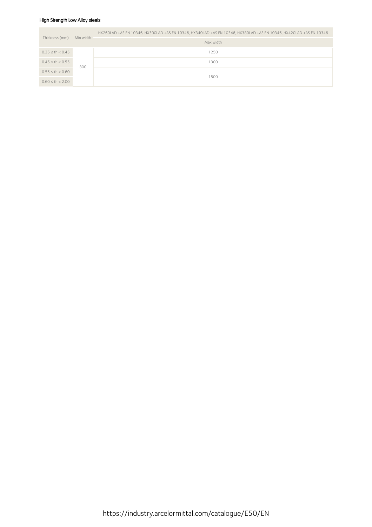### High Strength Low Alloy steels

| Thickness (mm)       | Min width | HX260LAD +AS EN 10346, HX300LAD +AS EN 10346, HX340LAD +AS EN 10346, HX380LAD +AS EN 10346, HX420LAD +AS EN 10346 |  |  |  |  |  |  |
|----------------------|-----------|-------------------------------------------------------------------------------------------------------------------|--|--|--|--|--|--|
|                      |           | Max width                                                                                                         |  |  |  |  |  |  |
| $0.35 \le th < 0.45$ |           | 1250                                                                                                              |  |  |  |  |  |  |
| $0.45 \le th < 0.55$ | 800       | 1300                                                                                                              |  |  |  |  |  |  |
| $0.55 \le th < 0.60$ |           | 1500                                                                                                              |  |  |  |  |  |  |
| $0.60 \le th < 2.00$ |           |                                                                                                                   |  |  |  |  |  |  |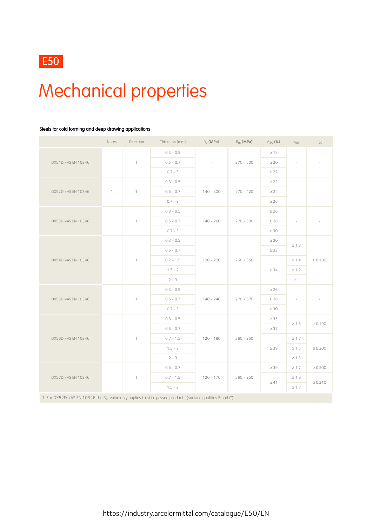# Mechanical properties

### Steels for cold forming and deep drawing applications

|                                                                                                                       | Notes          | Direction | Thickness (mm) | $R_e$ (MPa) | $R_m$ (MPa) | $A_{80}$ (%) | $r_{90}$                 | $n_{90}$     |
|-----------------------------------------------------------------------------------------------------------------------|----------------|-----------|----------------|-------------|-------------|--------------|--------------------------|--------------|
|                                                                                                                       |                |           | $0.3 - 0.5$    |             |             | $\geq 18$    |                          |              |
| DX51D +AS EN 10346                                                                                                    |                | $\top$    | $0.5 - 0.7$    | $\sim$      | $270 - 500$ | $\geq 20$    | $\overline{\phantom{a}}$ |              |
|                                                                                                                       |                |           | $0.7 - 3$      |             |             | $\geq$ 22    |                          |              |
|                                                                                                                       |                | $\top$    | $0.3 - 0.5$    |             |             | $\geq$ 22    |                          |              |
| DX52D +AS EN 10346                                                                                                    | $\overline{1}$ |           | $0.5 - 0.7$    | $140 - 300$ | $270 - 420$ | $\geq 24$    | $\overline{\phantom{a}}$ |              |
|                                                                                                                       |                |           | $0.7 - 3$      |             |             | $\geq 26$    |                          |              |
|                                                                                                                       |                |           | $0.3 - 0.5$    |             |             | $\geq 26$    |                          |              |
| DX53D +AS EN 10346                                                                                                    |                | $\top$    | $0.5 - 0.7$    | $140 - 260$ | $270 - 380$ | $\geq 28$    | $\sim$                   |              |
|                                                                                                                       |                |           | $0.7 - 3$      |             |             | $\geq 30$    |                          |              |
| DX54D +AS EN 10346                                                                                                    |                | $\top$    | $0.3 - 0.5$    |             |             | $\geq 30$    |                          |              |
|                                                                                                                       |                |           | $0.5 - 0.7$    |             |             | $\geq$ 32    | $\geq 1.2$               |              |
|                                                                                                                       |                |           | $0.7 - 1.5$    | $120 - 220$ | $260 - 350$ |              | $\geq 1.4$               | $\geq 0.180$ |
|                                                                                                                       |                |           | $1.5 - 2$      |             |             | $\geq 34$    | $\geq 1.2$               |              |
|                                                                                                                       |                |           | $2 - 3$        |             |             |              | $\geq$ 1                 |              |
|                                                                                                                       |                | $\top$    | $0.3 - 0.5$    |             | $270 - 370$ | $\geq 26$    |                          |              |
| DX55D +AS EN 10346                                                                                                    |                |           | $0.5 - 0.7$    | $140 - 240$ |             | $\geq 28$    | $\overline{\phantom{a}}$ |              |
|                                                                                                                       |                |           | $0.7 - 3$      |             |             | $\geq 30$    |                          |              |
|                                                                                                                       |                |           | $0.3 - 0.5$    |             |             | $\geq 35$    |                          |              |
|                                                                                                                       |                |           | $0.5 - 0.7$    |             |             | $\geq 37$    | $\geq 1.5$               | $\geq 0.190$ |
| DX56D +AS EN 10346                                                                                                    |                | $\top$    | $0.7 - 1.5$    | $120 - 180$ | $260 - 350$ |              | $\geq 1.7$               |              |
|                                                                                                                       |                |           | $1.5 - 2$      |             |             | $\geq 39$    | $\geq 1.5$               | $\geq 0.200$ |
|                                                                                                                       |                |           | $2 - 3$        |             |             |              | $\geq 1.3$               |              |
|                                                                                                                       |                |           | $0.5 - 0.7$    |             |             | $\geq 39$    | $\geq 1.7$               | $\geq 0.200$ |
| DX57D +AS EN 10346                                                                                                    |                | $\top$    | $0.7 - 1.5$    | $120 - 170$ | $260 - 350$ |              | $\geq 1.9$               |              |
|                                                                                                                       |                |           | $1.5 - 2$      |             |             | $\geq 41$    | $\geq 1.7$               | $\geq 0.210$ |
| 1. For DX52D +AS EN 10346 the R <sub>e</sub> -value only applies to skin-passed products (surface qualities B and C). |                |           |                |             |             |              |                          |              |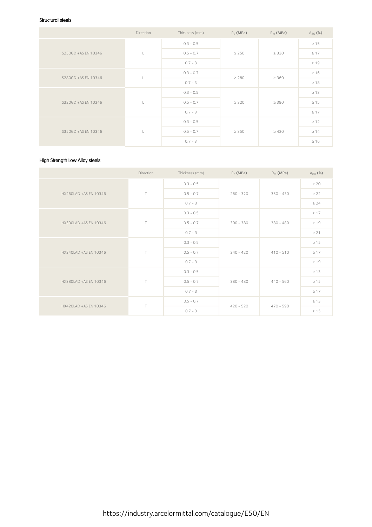### Structural steels

|                     | Direction | Thickness (mm) | $R_{\varphi}$ (MPa) | $R_m$ (MPa) | $A_{80}$ (%) |
|---------------------|-----------|----------------|---------------------|-------------|--------------|
|                     |           | $0.3 - 0.5$    |                     |             | $\geq 15$    |
| S250GD +AS EN 10346 | Ч.        | $0.5 - 0.7$    | $\geq 250$          | $\geq$ 330  | $\geq 17$    |
|                     |           | $0.7 - 3$      |                     |             | $\geq 19$    |
| S280GD +AS EN 10346 |           | $0.3 - 0.7$    | $\geq 280$          | $\geq 360$  | $\geq 16$    |
|                     |           | $0.7 - 3$      |                     |             | $\geq 18$    |
|                     |           | $0.3 - 0.5$    | $\geq 320$          | $\geq 390$  | $\geq 13$    |
| S320GD +AS EN 10346 | Ч.        | $0.5 - 0.7$    |                     |             | $\geq 15$    |
|                     |           | $0.7 - 3$      |                     |             | $\geq 17$    |
|                     | L         | $0.3 - 0.5$    |                     |             | $\geq 12$    |
| S350GD +AS EN 10346 |           | $0.5 - 0.7$    | $\geq 350$          | $\geq 420$  | $\geq 14$    |
|                     |           | $0.7 - 3$      |                     |             | $\geq 16$    |

### High Strength Low Alloy steels

|                       | Direction | Thickness (mm) | $R_e$ (MPa) | $R_m$ (MPa) | $A_{80}$ (%) |
|-----------------------|-----------|----------------|-------------|-------------|--------------|
|                       |           | $0.3 - 0.5$    |             |             | $\geq 20$    |
| HX260LAD +AS EN 10346 | $\top$    | $0.5 - 0.7$    | $260 - 320$ | $350 - 430$ | $\geq$ 22    |
|                       |           | $0.7 - 3$      |             |             | $\geq 24$    |
|                       |           | $0.3 - 0.5$    | $300 - 380$ | $380 - 480$ | $\geq 17$    |
| HX300LAD +AS EN 10346 | $\top$    | $0.5 - 0.7$    |             |             | $\geq 19$    |
|                       |           | $0.7 - 3$      |             |             | $\geq$ 21    |
|                       |           | $0.3 - 0.5$    | $340 - 420$ | $410 - 510$ | $\geq 15$    |
| HX340LAD +AS EN 10346 | $\top$    | $0.5 - 0.7$    |             |             | $\geq 17$    |
|                       |           | $0.7 - 3$      |             |             | $\geq 19$    |
|                       |           | $0.3 - 0.5$    |             |             | $\geq 13$    |
| HX380LAD +AS EN 10346 | $\top$    | $0.5 - 0.7$    | $380 - 480$ | $440 - 560$ | $\geq 15$    |
|                       |           | $0.7 - 3$      |             |             | $\geq 17$    |
| HX420LAD +AS EN 10346 | $\top$    | $0.5 - 0.7$    | $420 - 520$ | $470 - 590$ | $\geq 13$    |
|                       |           | $0.7 - 3$      |             |             | $\geq 15$    |